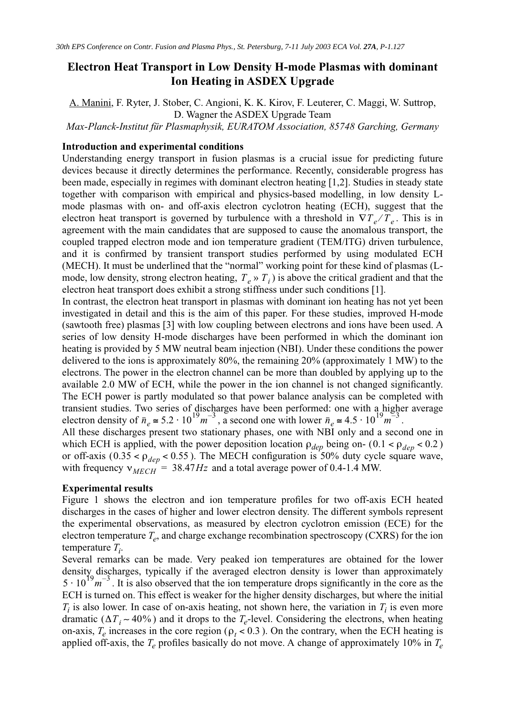# **Electron Heat Transport in Low Density H-mode Plasmas with dominant Ion Heating in ASDEX Upgrade**

A. Manini, F. Ryter, J. Stober, C. Angioni, K. K. Kirov, F. Leuterer, C. Maggi, W. Suttrop, D. Wagner the ASDEX Upgrade Team

*Max-Planck-Institut für Plasmaphysik, EURATOM Association, 85748 Garching, Germany*

# **Introduction and experimental conditions**

Understanding energy transport in fusion plasmas is a crucial issue for predicting future devices because it directly determines the performance. Recently, considerable progress has been made, especially in regimes with dominant electron heating [1,2]. Studies in steady state together with comparison with empirical and physics-based modelling, in low density Lmode plasmas with on- and off-axis electron cyclotron heating (ECH), suggest that the electron heat transport is governed by turbulence with a threshold in  $\nabla T_e/T_e$ . This is in agreement with the main candidates that are supposed to cause the anomalous transport, the coupled trapped electron mode and ion temperature gradient (TEM/ITG) driven turbulence, and it is confirmed by transient transport studies performed by using modulated ECH (MECH). It must be underlined that the "normal" working point for these kind of plasmas (Lmode, low density, strong electron heating,  $T_e \gg T_i$  is above the critical gradient and that the electron heat transport does exhibit a strong stiffness under such conditions [1]. ⁄

In contrast, the electron heat transport in plasmas with dominant ion heating has not yet been investigated in detail and this is the aim of this paper. For these studies, improved H-mode (sawtooth free) plasmas [3] with low coupling between electrons and ions have been used. A series of low density H-mode discharges have been performed in which the dominant ion heating is provided by 5 MW neutral beam injection (NBI). Under these conditions the power delivered to the ions is approximately 80%, the remaining 20% (approximately 1 MW) to the electrons. The power in the electron channel can be more than doubled by applying up to the available 2.0 MW of ECH, while the power in the ion channel is not changed significantly. The ECH power is partly modulated so that power balance analysis can be completed with transient studies. Two series of discharges have been performed: one with a higher average electron density of  $\bar{n}_e \approx 5.2 \cdot 10^{19} m^{-3}$ , a second one with lower  $\bar{n}_e \approx 4.5 \cdot 10^{19} m^{-3}$ .

All these discharges present two stationary phases, one with NBI only and a second one in which ECH is applied, with the power deposition location  $\rho_{dep}$  being on- (0.1 <  $\rho_{dep}$  < 0.2) or off-axis ( $0.35 < \rho_{dep} < 0.55$ ). The MECH configuration is 50% duty cycle square wave, with frequency  $v_{MECH}$  = 38.47*Hz* and a total average power of 0.4-1.4 MW.

# **Experimental results**

Figure 1 shows the electron and ion temperature profiles for two off-axis ECH heated discharges in the cases of higher and lower electron density. The different symbols represent the experimental observations, as measured by electron cyclotron emission (ECE) for the electron temperature  $T_e$ , and charge exchange recombination spectroscopy (CXRS) for the ion temperature *T<sup>i</sup>* .

Several remarks can be made. Very peaked ion temperatures are obtained for the lower density discharges, typically if the averaged electron density is lower than approximately  $5 \cdot 10^{19} m^{-3}$ . It is also observed that the ion temperature drops significantly in the core as the ECH is turned on. This effect is weaker for the higher density discharges, but where the initial  $T_i$  is also lower. In case of on-axis heating, not shown here, the variation in  $T_i$  is even more dramatic ( $\Delta T_i \sim 40\%$ ) and it drops to the  $T_e$ -level. Considering the electrons, when heating on-axis,  $T_e$  increases in the core region ( $\rho_t < 0.3$ ). On the contrary, when the ECH heating is applied off-axis, the *T<sup>e</sup>* profiles basically do not move. A change of approximately 10% in *T<sup>e</sup>*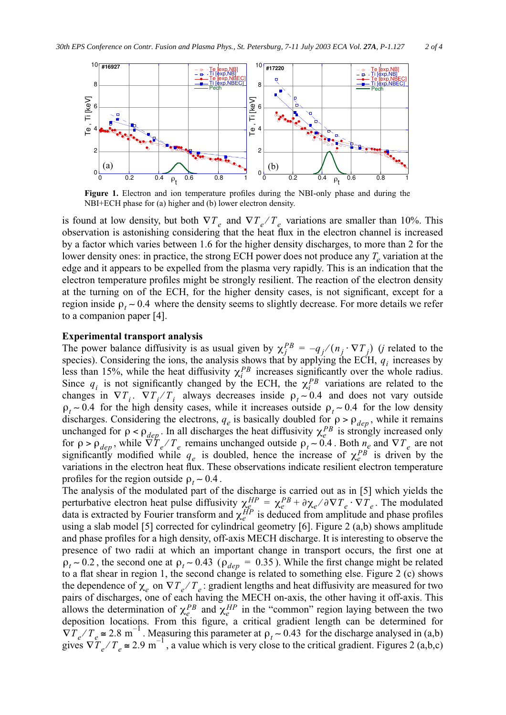

**Figure 1.** Electron and ion temperature profiles during the NBI-only phase and during the NBI+ECH phase for (a) higher and (b) lower electron density.

is found at low density, but both  $\nabla T_e$  and  $\nabla T_e/T_e$  variations are smaller than 10%. This observation is astonishing considering that the heat flux in the electron channel is increased by a factor which varies between 1.6 for the higher density discharges, to more than 2 for the lower density ones: in practice, the strong ECH power does not produce any *T<sup>e</sup>* variation at the edge and it appears to be expelled from the plasma very rapidly. This is an indication that the electron temperature profiles might be strongly resilient. The reaction of the electron density at the turning on of the ECH, for the higher density cases, is not significant, except for a region inside  $\rho_t \sim 0.4$  where the density seems to slightly decrease. For more details we refer to a companion paper [4]. ⁄

#### **Experimental transport analysis**

The power balance diffusivity is as usual given by  $\chi_j^{PB} = -q_j/(n_j \cdot \nabla T_j)$  (*j* related to the species). Considering the ions, the analysis shows that by applying the ECH,  $q_i$  increases by less than 15%, while the heat diffusivity  $\chi_i^{PB}$  increases significantly over the whole radius. Since  $q_i$  is not significantly changed by the ECH, the  $\chi_i^{PB}$  variations are related to the changes in  $\nabla T_i$ .  $\nabla T_i/T_i$  always decreases inside  $\rho_t \sim 0.4$  and does not vary outside  $\rho_t \sim 0.4$  for the high density cases, while it increases outside  $\rho_t \sim 0.4$  for the low density discharges. Considering the electrons,  $q_e$  is basically doubled for  $\rho > \rho_{dep}$ , while it remains unchanged for  $\rho < \rho_{dep}$ . In all discharges the heat diffusivity  $\chi_e^{PB}$  is strongly increased only for  $\rho > \rho_{dep}$ , while  $\nabla T_e / T_e$  remains unchanged outside  $\rho_t \sim 0.4$ . Both  $n_e$  and  $\nabla T_e$  are not significantly modified while  $q_e$  is doubled, hence the increase of  $\chi_e^{PB}$  is driven by the variations in the electron heat flux. These observations indicate resilient electron temperature profiles for the region outside  $\rho_t \sim 0.4$ .

The analysis of the modulated part of the discharge is carried out as in [5] which yields the perturbative electron heat pulse diffusivity  $\chi_e^{HP} = \chi_e^{PB} + \partial \chi_e / \partial \nabla T_e \cdot \nabla T_e$ . The modulated data is extracted by Fourier transform and  $\chi_e^{HP}$  is deduced from amplitude and phase profiles using a slab model [5] corrected for cylindrical geometry [6]. Figure 2 (a,b) shows amplitude and phase profiles for a high density, off-axis MECH discharge. It is interesting to observe the presence of two radii at which an important change in transport occurs, the first one at  $\rho_t \sim 0.2$ , the second one at  $\rho_t \sim 0.43$  ( $\rho_{dep} = 0.35$ ). While the first change might be related to a flat shear in region 1, the second change is related to something else. Figure 2 (c) shows the dependence of  $\chi_e$  on  $\nabla T_e/T_e$ : gradient lengths and heat diffusivity are measured for two pairs of discharges, one of each having the MECH on-axis, the other having it off-axis. This allows the determination of  $\chi_e^{PB}$  and  $\chi_e^{HP}$  in the "common" region laying between the two deposition locations. From this figure, a critical gradient length can be determined for  $\nabla T_e/T_e \approx 2.8 \text{ m}^{-1}$ . Measuring this parameter at  $\rho_t \sim 0.43$  for the discharge analysed in (a,b) gives  $\nabla T_e/T_e \approx 2.9 \text{ m}^{-1}$ , a value which is very close to the critical gradient. Figures 2 (a,b,c)  $\chi_e^{HP} = \chi_e^{PB} + \partial \chi_e / \partial \nabla T_e \cdot \nabla T_e$  $\chi_e^{HP}$ ⁄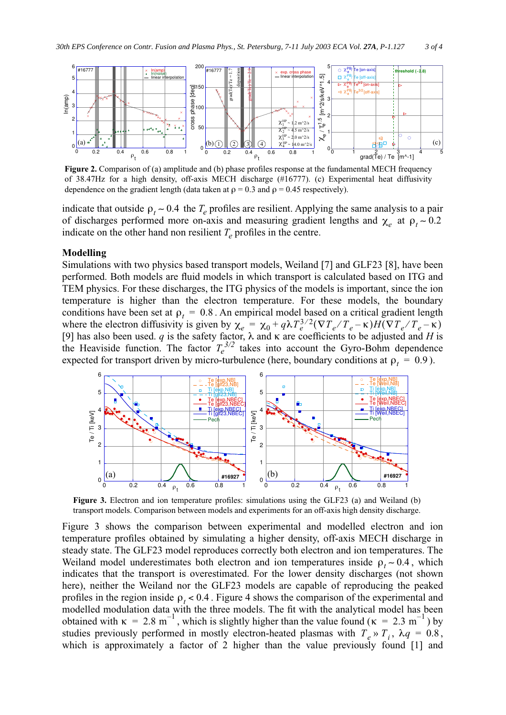

**Figure 2.** Comparison of (a) amplitude and (b) phase profiles response at the fundamental MECH frequency of 38.47Hz for a high density, off-axis MECH discharge (#16777). (c) Experimental heat diffusivity dependence on the gradient length (data taken at  $\rho = 0.3$  and  $\rho = 0.45$  respectively).

indicate that outside  $\rho_t \sim 0.4$  the  $T_e$  profiles are resilient. Applying the same analysis to a pair of discharges performed more on-axis and measuring gradient lengths and  $\chi_e$  at  $\rho_t \sim 0.2$ indicate on the other hand non resilient  $T_e$  profiles in the centre.

#### **Modelling**

Simulations with two physics based transport models, Weiland [7] and GLF23 [8], have been performed. Both models are fluid models in which transport is calculated based on ITG and TEM physics. For these discharges, the ITG physics of the models is important, since the ion temperature is higher than the electron temperature. For these models, the boundary conditions have been set at  $\rho_t = 0.8$ . An empirical model based on a critical gradient length where the electron diffusivity is given by [9] has also been used. *q* is the safety factor,  $\lambda$  and  $\kappa$  are coefficients to be adjusted and *H* is the Heaviside function. The factor  $T_e^{3/2}$  takes into account the Gyro-Bohm dependence expected for transport driven by micro-turbulence (here, boundary conditions at  $\rho_t = 0.9$ ).  $\chi_e = \chi_0 + q\lambda T_e^{3/2} (\nabla T_e / T_e - \kappa) H (\nabla T_e / T_e - \kappa)$ 



**Figure 3.** Electron and ion temperature profiles: simulations using the GLF23 (a) and Weiland (b) transport models. Comparison between models and experiments for an off-axis high density discharge.

Figure 3 shows the comparison between experimental and modelled electron and ion temperature profiles obtained by simulating a higher density, off-axis MECH discharge in steady state. The GLF23 model reproduces correctly both electron and ion temperatures. The Weiland model underestimates both electron and ion temperatures inside  $\rho_t \sim 0.4$ , which indicates that the transport is overestimated. For the lower density discharges (not shown here), neither the Weiland nor the GLF23 models are capable of reproducing the peaked profiles in the region inside  $\rho_t < 0.4$ . Figure 4 shows the comparison of the experimental and modelled modulation data with the three models. The fit with the analytical model has been obtained with  $\kappa = 2.8 \text{ m}^{-1}$ , which is slightly higher than the value found ( $\kappa = 2.3 \text{ m}^{-1}$ ) by studies previously performed in mostly electron-heated plasmas with  $T_e \gg T_i$ ,  $\lambda q = 0.8$ , which is approximately a factor of 2 higher than the value previously found [1] and